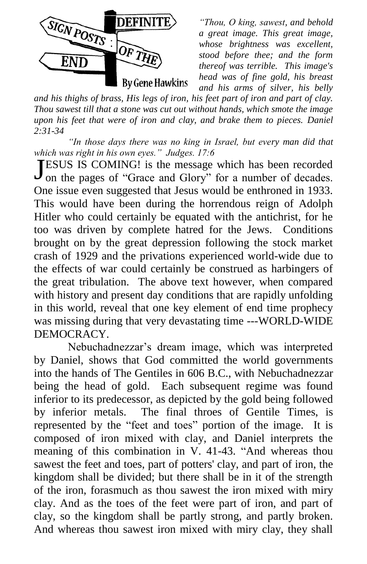

*"Thou, O king, sawest, and behold a great image. This great image, whose brightness was excellent, stood before thee; and the form thereof was terrible. This image's head was of fine gold, his breast and his arms of silver, his belly* 

*and his thighs of brass, His legs of iron, his feet part of iron and part of clay. Thou sawest till that a stone was cut out without hands, which smote the image upon his feet that were of iron and clay, and brake them to pieces. Daniel 2:31-34*

*"In those days there was no king in Israel, but every man did that which was right in his own eyes." Judges. 17:6*

**TESUS IS COMING!** is the message which has been recorded **JESUS IS COMING!** is the message which has been recorded on the pages of "Grace and Glory" for a number of decades. One issue even suggested that Jesus would be enthroned in 1933. This would have been during the horrendous reign of Adolph Hitler who could certainly be equated with the antichrist, for he too was driven by complete hatred for the Jews. Conditions brought on by the great depression following the stock market crash of 1929 and the privations experienced world-wide due to the effects of war could certainly be construed as harbingers of the great tribulation. The above text however, when compared with history and present day conditions that are rapidly unfolding in this world, reveal that one key element of end time prophecy was missing during that very devastating time ---WORLD-WIDE DEMOCRACY.

Nebuchadnezzar's dream image, which was interpreted by Daniel, shows that God committed the world governments into the hands of The Gentiles in 606 B.C., with Nebuchadnezzar being the head of gold. Each subsequent regime was found inferior to its predecessor, as depicted by the gold being followed by inferior metals. The final throes of Gentile Times, is represented by the "feet and toes" portion of the image. It is composed of iron mixed with clay, and Daniel interprets the meaning of this combination in V.  $41-43$ . "And whereas thou sawest the feet and toes, part of potters' clay, and part of iron, the kingdom shall be divided; but there shall be in it of the strength of the iron, forasmuch as thou sawest the iron mixed with miry clay. And as the toes of the feet were part of iron, and part of clay, so the kingdom shall be partly strong, and partly broken. And whereas thou sawest iron mixed with miry clay, they shall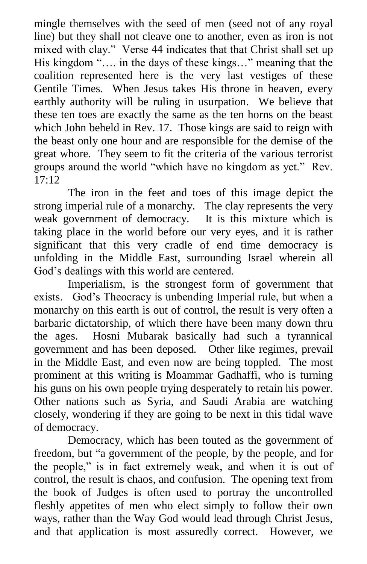mingle themselves with the seed of men (seed not of any royal line) but they shall not cleave one to another, even as iron is not mixed with clay." Verse 44 indicates that that Christ shall set up His kingdom ".... in the days of these kings..." meaning that the coalition represented here is the very last vestiges of these Gentile Times. When Jesus takes His throne in heaven, every earthly authority will be ruling in usurpation. We believe that these ten toes are exactly the same as the ten horns on the beast which John beheld in Rev. 17. Those kings are said to reign with the beast only one hour and are responsible for the demise of the great whore. They seem to fit the criteria of the various terrorist groups around the world "which have no kingdom as yet." Rev.  $17:12$ 

The iron in the feet and toes of this image depict the strong imperial rule of a monarchy. The clay represents the very weak government of democracy. It is this mixture which is taking place in the world before our very eyes, and it is rather significant that this very cradle of end time democracy is unfolding in the Middle East, surrounding Israel wherein all God's dealings with this world are centered.

Imperialism, is the strongest form of government that exists. God's Theocracy is unbending Imperial rule, but when a monarchy on this earth is out of control, the result is very often a barbaric dictatorship, of which there have been many down thru the ages. Hosni Mubarak basically had such a tyrannical government and has been deposed. Other like regimes, prevail in the Middle East, and even now are being toppled. The most prominent at this writing is Moammar Gadhaffi, who is turning his guns on his own people trying desperately to retain his power. Other nations such as Syria, and Saudi Arabia are watching closely, wondering if they are going to be next in this tidal wave of democracy.

Democracy, which has been touted as the government of freedom, but "a government of the people, by the people, and for the people," is in fact extremely weak, and when it is out of control, the result is chaos, and confusion. The opening text from the book of Judges is often used to portray the uncontrolled fleshly appetites of men who elect simply to follow their own ways, rather than the Way God would lead through Christ Jesus, and that application is most assuredly correct. However, we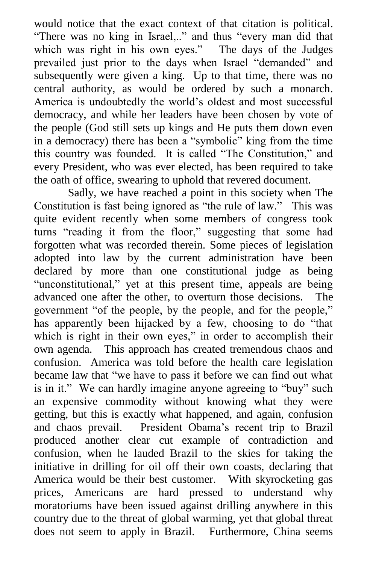would notice that the exact context of that citation is political. "There was no king in Israel,.." and thus "every man did that which was right in his own eyes." The days of the Judges prevailed just prior to the days when Israel "demanded" and subsequently were given a king. Up to that time, there was no central authority, as would be ordered by such a monarch. America is undoubtedly the world's oldest and most successful democracy, and while her leaders have been chosen by vote of the people (God still sets up kings and He puts them down even in a democracy) there has been a "symbolic" king from the time this country was founded. It is called "The Constitution," and every President, who was ever elected, has been required to take the oath of office, swearing to uphold that revered document.

Sadly, we have reached a point in this society when The Constitution is fast being ignored as "the rule of law." This was quite evident recently when some members of congress took turns "reading it from the floor," suggesting that some had forgotten what was recorded therein. Some pieces of legislation adopted into law by the current administration have been declared by more than one constitutional judge as being "unconstitutional," yet at this present time, appeals are being advanced one after the other, to overturn those decisions. The government "of the people, by the people, and for the people," has apparently been hijacked by a few, choosing to do "that which is right in their own eyes," in order to accomplish their own agenda. This approach has created tremendous chaos and confusion. America was told before the health care legislation became law that "we have to pass it before we can find out what is in it." We can hardly imagine anyone agreeing to "buy" such an expensive commodity without knowing what they were getting, but this is exactly what happened, and again, confusion and chaos prevail. President Obama's recent trip to Brazil produced another clear cut example of contradiction and confusion, when he lauded Brazil to the skies for taking the initiative in drilling for oil off their own coasts, declaring that America would be their best customer. With skyrocketing gas prices, Americans are hard pressed to understand why moratoriums have been issued against drilling anywhere in this country due to the threat of global warming, yet that global threat does not seem to apply in Brazil. Furthermore, China seems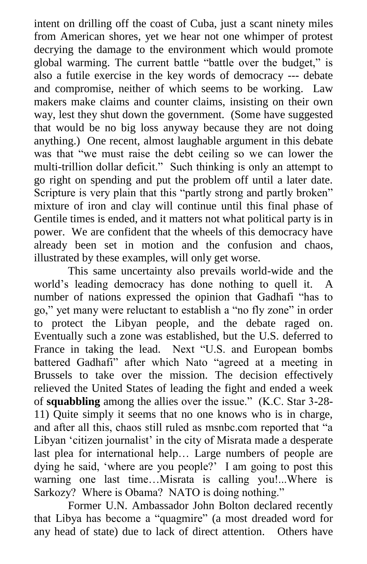intent on drilling off the coast of Cuba, just a scant ninety miles from American shores, yet we hear not one whimper of protest decrying the damage to the environment which would promote global warming. The current battle "battle over the budget," is also a futile exercise in the key words of democracy --- debate and compromise, neither of which seems to be working. Law makers make claims and counter claims, insisting on their own way, lest they shut down the government. (Some have suggested that would be no big loss anyway because they are not doing anything.) One recent, almost laughable argument in this debate was that "we must raise the debt ceiling so we can lower the multi-trillion dollar deficit." Such thinking is only an attempt to go right on spending and put the problem off until a later date. Scripture is very plain that this "partly strong and partly broken" mixture of iron and clay will continue until this final phase of Gentile times is ended, and it matters not what political party is in power. We are confident that the wheels of this democracy have already been set in motion and the confusion and chaos, illustrated by these examples, will only get worse.

This same uncertainty also prevails world-wide and the world's leading democracy has done nothing to quell it. A number of nations expressed the opinion that Gadhafi "has to go," yet many were reluctant to establish a "no fly zone" in order to protect the Libyan people, and the debate raged on. Eventually such a zone was established, but the U.S. deferred to France in taking the lead. Next "U.S. and European bombs battered Gadhafi" after which Nato "agreed at a meeting in Brussels to take over the mission. The decision effectively relieved the United States of leading the fight and ended a week of **squabbling** among the allies over the issue.‖ (K.C. Star 3-28- 11) Quite simply it seems that no one knows who is in charge, and after all this, chaos still ruled as msnbc.com reported that "a Libyan 'citizen journalist' in the city of Misrata made a desperate last plea for international help… Large numbers of people are dying he said, 'where are you people?' I am going to post this warning one last time…Misrata is calling you!...Where is Sarkozy? Where is Obama? NATO is doing nothing."

Former U.N. Ambassador John Bolton declared recently that Libya has become a "quagmire" (a most dreaded word for any head of state) due to lack of direct attention. Others have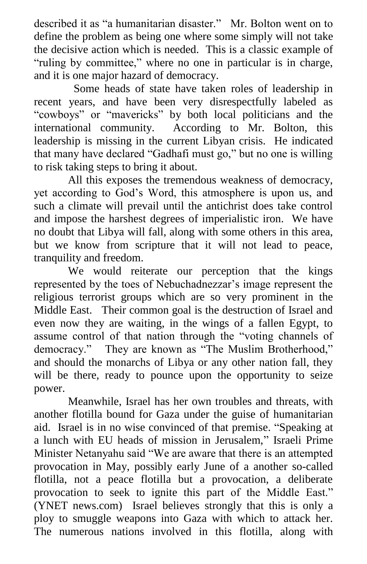described it as "a humanitarian disaster." Mr. Bolton went on to define the problem as being one where some simply will not take the decisive action which is needed. This is a classic example of "ruling by committee," where no one in particular is in charge, and it is one major hazard of democracy.

 Some heads of state have taken roles of leadership in recent years, and have been very disrespectfully labeled as "cowboys" or "mavericks" by both local politicians and the international community. According to Mr. Bolton, this leadership is missing in the current Libyan crisis. He indicated that many have declared "Gadhafi must go," but no one is willing to risk taking steps to bring it about.

All this exposes the tremendous weakness of democracy, yet according to God's Word, this atmosphere is upon us, and such a climate will prevail until the antichrist does take control and impose the harshest degrees of imperialistic iron. We have no doubt that Libya will fall, along with some others in this area, but we know from scripture that it will not lead to peace, tranquility and freedom.

We would reiterate our perception that the kings represented by the toes of Nebuchadnezzar's image represent the religious terrorist groups which are so very prominent in the Middle East. Their common goal is the destruction of Israel and even now they are waiting, in the wings of a fallen Egypt, to assume control of that nation through the "voting channels of democracy." They are known as "The Muslim Brotherhood," and should the monarchs of Libya or any other nation fall, they will be there, ready to pounce upon the opportunity to seize power.

Meanwhile, Israel has her own troubles and threats, with another flotilla bound for Gaza under the guise of humanitarian aid. Israel is in no wise convinced of that premise. "Speaking at a lunch with EU heads of mission in Jerusalem," Israeli Prime Minister Netanyahu said "We are aware that there is an attempted provocation in May, possibly early June of a another so-called flotilla, not a peace flotilla but a provocation, a deliberate provocation to seek to ignite this part of the Middle East." (YNET news.com) Israel believes strongly that this is only a ploy to smuggle weapons into Gaza with which to attack her. The numerous nations involved in this flotilla, along with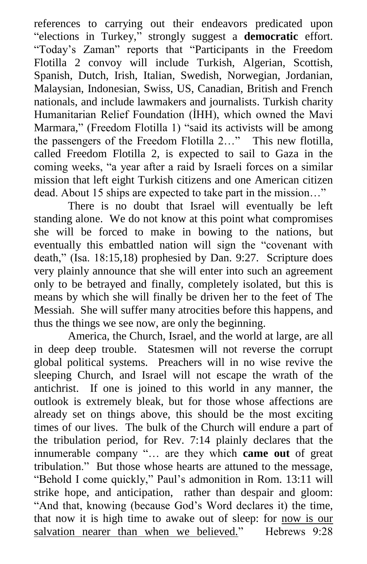references to carrying out their endeavors predicated upon "elections in Turkey," strongly suggest a **democratic** effort. "Today's Zaman" reports that "Participants in the Freedom Flotilla 2 convoy will include Turkish, Algerian, Scottish, Spanish, Dutch, Irish, Italian, Swedish, Norwegian, Jordanian, Malaysian, Indonesian, Swiss, US, Canadian, British and French nationals, and include lawmakers and journalists. Turkish charity Humanitarian Relief Foundation (İHH), which owned the Mavi Marmara," (Freedom Flotilla 1) "said its activists will be among the passengers of the Freedom Flotilla 2..." This new flotilla, called Freedom Flotilla 2, is expected to sail to Gaza in the coming weeks, "a year after a raid by Israeli forces on a similar mission that left eight Turkish citizens and one American citizen dead. About 15 ships are expected to take part in the mission..."

There is no doubt that Israel will eventually be left standing alone. We do not know at this point what compromises she will be forced to make in bowing to the nations, but eventually this embattled nation will sign the "covenant with death," (Isa. 18:15,18) prophesied by Dan. 9:27. Scripture does very plainly announce that she will enter into such an agreement only to be betrayed and finally, completely isolated, but this is means by which she will finally be driven her to the feet of The Messiah. She will suffer many atrocities before this happens, and thus the things we see now, are only the beginning.

America, the Church, Israel, and the world at large, are all in deep deep trouble. Statesmen will not reverse the corrupt global political systems. Preachers will in no wise revive the sleeping Church, and Israel will not escape the wrath of the antichrist. If one is joined to this world in any manner, the outlook is extremely bleak, but for those whose affections are already set on things above, this should be the most exciting times of our lives. The bulk of the Church will endure a part of the tribulation period, for Rev. 7:14 plainly declares that the innumerable company "... are they which **came out** of great tribulation.‖ But those whose hearts are attuned to the message, "Behold I come quickly," Paul's admonition in Rom. 13:11 will strike hope, and anticipation, rather than despair and gloom: "And that, knowing (because God's Word declares it) the time, that now it is high time to awake out of sleep: for now is our salvation nearer than when we believed." Hebrews 9:28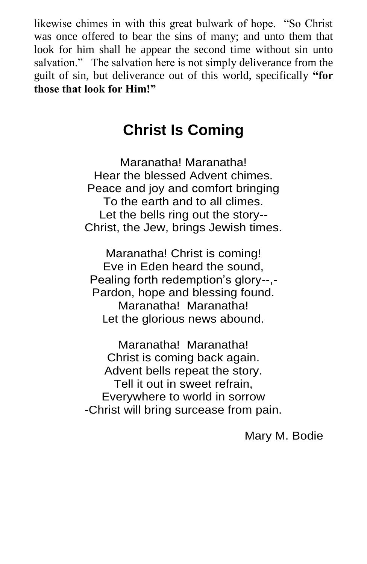likewise chimes in with this great bulwark of hope. "So Christ" was once offered to bear the sins of many; and unto them that look for him shall he appear the second time without sin unto salvation." The salvation here is not simply deliverance from the guilt of sin, but deliverance out of this world, specifically **"for those that look for Him!"**

# **Christ Is Coming**

Maranatha! Maranatha! Hear the blessed Advent chimes. Peace and joy and comfort bringing To the earth and to all climes. Let the bells ring out the story-- Christ, the Jew, brings Jewish times.

Maranatha! Christ is coming! Eve in Eden heard the sound, Pealing forth redemption's glory--,- Pardon, hope and blessing found. Maranatha! Maranatha! Let the glorious news abound.

Maranatha! Maranatha! Christ is coming back again. Advent bells repeat the story. Tell it out in sweet refrain, Everywhere to world in sorrow -Christ will bring surcease from pain.

Mary M. Bodie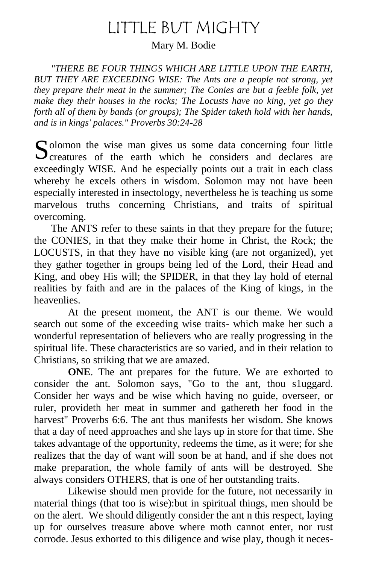# LITTLE BUT MIGHTY

Mary M. Bodie

*"THERE BE FOUR THINGS WHICH ARE LITTLE UPON THE EARTH, BUT THEY ARE EXCEEDING WISE: The Ants are a people not strong, yet they prepare their meat in the summer; The Conies are but a feeble folk, yet make they their houses in the rocks; The Locusts have no king, yet go they forth all of them by bands (or groups); The Spider taketh hold with her hands, and is in kings' palaces." Proverbs 30:24-28* 

 $\Gamma$  olomon the wise man gives us some data concerning four little Solomon the wise man gives us some data concerning four little Creatures of the earth which he considers and declares are exceedingly WISE. And he especially points out a trait in each class whereby he excels others in wisdom. Solomon may not have been especially interested in insectology, nevertheless he is teaching us some marvelous truths concerning Christians, and traits of spiritual overcoming.

The ANTS refer to these saints in that they prepare for the future; the CONIES, in that they make their home in Christ, the Rock; the LOCUSTS, in that they have no visible king (are not organized), yet they gather together in groups being led of the Lord, their Head and King, and obey His will; the SPIDER, in that they lay hold of eternal realities by faith and are in the palaces of the King of kings, in the heavenlies.

At the present moment, the ANT is our theme. We would search out some of the exceeding wise traits- which make her such a wonderful representation of believers who are really progressing in the spiritual life. These characteristics are so varied, and in their relation to Christians, so striking that we are amazed.

**ONE**. The ant prepares for the future. We are exhorted to consider the ant. Solomon says, "Go to the ant, thou s1uggard. Consider her ways and be wise which having no guide, overseer, or ruler, provideth her meat in summer and gathereth her food in the harvest" Proverbs 6:6. The ant thus manifests her wisdom. She knows that a day of need approaches and she lays up in store for that time. She takes advantage of the opportunity, redeems the time, as it were; for she realizes that the day of want will soon be at hand, and if she does not make preparation, the whole family of ants will be destroyed. She always considers OTHERS, that is one of her outstanding traits.

Likewise should men provide for the future, not necessarily in material things (that too is wise):but in spiritual things, men should be on the alert. We should diligently consider the ant n this respect, laying up for ourselves treasure above where moth cannot enter, nor rust corrode. Jesus exhorted to this diligence and wise play, though it neces-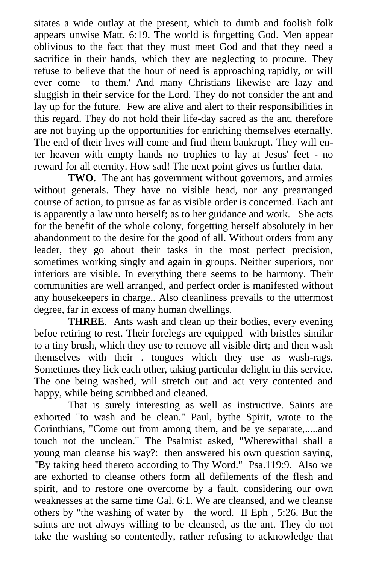sitates a wide outlay at the present, which to dumb and foolish folk appears unwise Matt. 6:19. The world is forgetting God. Men appear oblivious to the fact that they must meet God and that they need a sacrifice in their hands, which they are neglecting to procure. They refuse to believe that the hour of need is approaching rapidly, or will ever come to them.' And many Christians likewise are lazy and sluggish in their service for the Lord. They do not consider the ant and lay up for the future. Few are alive and alert to their responsibilities in this regard. They do not hold their life-day sacred as the ant, therefore are not buying up the opportunities for enriching themselves eternally. The end of their lives will come and find them bankrupt. They will enter heaven with empty hands no trophies to lay at Jesus' feet - no reward for all eternity. How sad! The next point gives us further data.

**TWO**. The ant has government without governors, and armies without generals. They have no visible head, nor any prearranged course of action, to pursue as far as visible order is concerned. Each ant is apparently a law unto herself; as to her guidance and work. She acts for the benefit of the whole colony, forgetting herself absolutely in her abandonment to the desire for the good of all. Without orders from any leader, they go about their tasks in the most perfect precision, sometimes working singly and again in groups. Neither superiors, nor inferiors are visible. In everything there seems to be harmony. Their communities are well arranged, and perfect order is manifested without any housekeepers in charge.. Also cleanliness prevails to the uttermost degree, far in excess of many human dwellings.

**THREE**. Ants wash and clean up their bodies, every evening befoe retiring to rest. Their forelegs are equipped with bristles similar to a tiny brush, which they use to remove all visible dirt; and then wash themselves with their . tongues which they use as wash-rags. Sometimes they lick each other, taking particular delight in this service. The one being washed, will stretch out and act very contented and happy, while being scrubbed and cleaned.

That is surely interesting as well as instructive. Saints are exhorted "to wash and be clean." Paul, bythe Spirit, wrote to the Corinthians, "Come out from among them, and be ye separate,.....and touch not the unclean." The Psalmist asked, "Wherewithal shall a young man cleanse his way?: then answered his own question saying, "By taking heed thereto according to Thy Word." Psa.119:9. Also we are exhorted to cleanse others form all defilements of the flesh and spirit, and to restore one overcome by a fault, considering our own weaknesses at the same time Gal. 6:1. We are cleansed, and we cleanse others by "the washing of water by the word. II Eph , 5:26. But the saints are not always willing to be cleansed, as the ant. They do not take the washing so contentedly, rather refusing to acknowledge that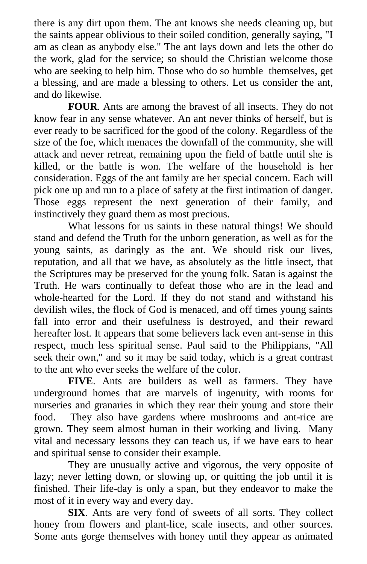there is any dirt upon them. The ant knows she needs cleaning up, but the saints appear oblivious to their soiled condition, generally saying, "I am as clean as anybody else." The ant lays down and lets the other do the work, glad for the service; so should the Christian welcome those who are seeking to help him. Those who do so humble themselves, get a blessing, and are made a blessing to others. Let us consider the ant, and do likewise.

**FOUR**. Ants are among the bravest of all insects. They do not know fear in any sense whatever. An ant never thinks of herself, but is ever ready to be sacrificed for the good of the colony. Regardless of the size of the foe, which menaces the downfall of the community, she will attack and never retreat, remaining upon the field of battle until she is killed, or the battle is won. The welfare of the household is her consideration. Eggs of the ant family are her special concern. Each will pick one up and run to a place of safety at the first intimation of danger. Those eggs represent the next generation of their family, and instinctively they guard them as most precious.

What lessons for us saints in these natural things! We should stand and defend the Truth for the unborn generation, as well as for the young saints, as daringly as the ant. We should risk our lives, reputation, and all that we have, as absolutely as the little insect, that the Scriptures may be preserved for the young folk. Satan is against the Truth. He wars continually to defeat those who are in the lead and whole-hearted for the Lord. If they do not stand and withstand his devilish wiles, the flock of God is menaced, and off times young saints fall into error and their usefulness is destroyed, and their reward hereafter lost. It appears that some believers lack even ant-sense in this respect, much less spiritual sense. Paul said to the Philippians, "All seek their own," and so it may be said today, which is a great contrast to the ant who ever seeks the welfare of the color.

**FIVE**. Ants are builders as well as farmers. They have underground homes that are marvels of ingenuity, with rooms for nurseries and granaries in which they rear their young and store their food. They also have gardens where mushrooms and ant-rice are grown. They seem almost human in their working and living. Many vital and necessary lessons they can teach us, if we have ears to hear and spiritual sense to consider their example.

They are unusually active and vigorous, the very opposite of lazy; never letting down, or slowing up, or quitting the job until it is finished. Their life-day is only a span, but they endeavor to make the most of it in every way and every day.

**SIX**. Ants are very fond of sweets of all sorts. They collect honey from flowers and plant-lice, scale insects, and other sources. Some ants gorge themselves with honey until they appear as animated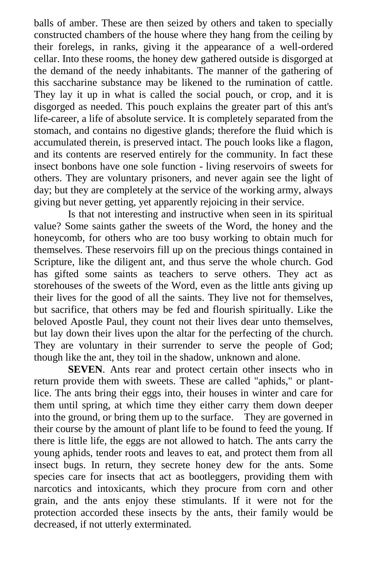balls of amber. These are then seized by others and taken to specially constructed chambers of the house where they hang from the ceiling by their forelegs, in ranks, giving it the appearance of a well-ordered cellar. Into these rooms, the honey dew gathered outside is disgorged at the demand of the needy inhabitants. The manner of the gathering of this saccharine substance may be likened to the rumination of cattle. They lay it up in what is called the social pouch, or crop, and it is disgorged as needed. This pouch explains the greater part of this ant's life-career, a life of absolute service. It is completely separated from the stomach, and contains no digestive glands; therefore the fluid which is accumulated therein, is preserved intact. The pouch looks like a flagon, and its contents are reserved entirely for the community. In fact these insect bonbons have one sole function - living reservoirs of sweets for others. They are voluntary prisoners, and never again see the light of day; but they are completely at the service of the working army, always giving but never getting, yet apparently rejoicing in their service.

Is that not interesting and instructive when seen in its spiritual value? Some saints gather the sweets of the Word, the honey and the honeycomb, for others who are too busy working to obtain much for themselves. These reservoirs fill up on the precious things contained in Scripture, like the diligent ant, and thus serve the whole church. God has gifted some saints as teachers to serve others. They act as storehouses of the sweets of the Word, even as the little ants giving up their lives for the good of all the saints. They live not for themselves, but sacrifice, that others may be fed and flourish spiritually. Like the beloved Apostle Paul, they count not their lives dear unto themselves, but lay down their lives upon the altar for the perfecting of the church. They are voluntary in their surrender to serve the people of God; though like the ant, they toil in the shadow, unknown and alone.

**SEVEN**. Ants rear and protect certain other insects who in return provide them with sweets. These are called "aphids," or plantlice. The ants bring their eggs into, their houses in winter and care for them until spring, at which time they either carry them down deeper into the ground, or bring them up to the surface. They are governed in their course by the amount of plant life to be found to feed the young. If there is little life, the eggs are not allowed to hatch. The ants carry the young aphids, tender roots and leaves to eat, and protect them from all insect bugs. In return, they secrete honey dew for the ants. Some species care for insects that act as bootleggers, providing them with narcotics and intoxicants, which they procure from corn and other grain, and the ants enjoy these stimulants. If it were not for the protection accorded these insects by the ants, their family would be decreased, if not utterly exterminated.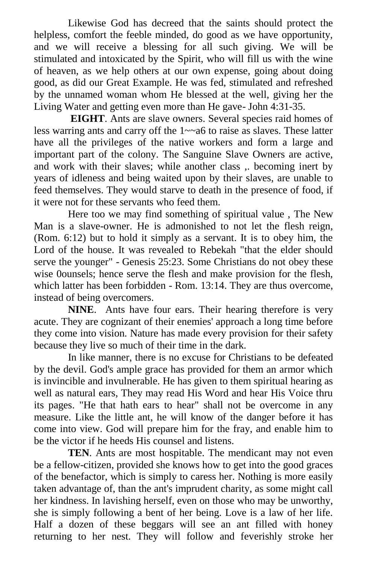Likewise God has decreed that the saints should protect the helpless, comfort the feeble minded, do good as we have opportunity, and we will receive a blessing for all such giving. We will be stimulated and intoxicated by the Spirit, who will fill us with the wine of heaven, as we help others at our own expense, going about doing good, as did our Great Example. He was fed, stimulated and refreshed by the unnamed woman whom He blessed at the well, giving her the Living Water and getting even more than He gave- John 4:31-35.

**EIGHT**. Ants are slave owners. Several species raid homes of less warring ants and carry off the 1~~a6 to raise as slaves. These latter have all the privileges of the native workers and form a large and important part of the colony. The Sanguine Slave Owners are active, and work with their slaves; while another class ,. becoming inert by years of idleness and being waited upon by their slaves, are unable to feed themselves. They would starve to death in the presence of food, if it were not for these servants who feed them.

Here too we may find something of spiritual value , The New Man is a slave-owner. He is admonished to not let the flesh reign, (Rom. 6:12) but to hold it simply as a servant. It is to obey him, the Lord of the house. It was revealed to Rebekah "that the elder should serve the younger" - Genesis 25:23. Some Christians do not obey these wise 0ounsels; hence serve the flesh and make provision for the flesh, which latter has been forbidden - Rom. 13:14. They are thus overcome, instead of being overcomers.

**NINE**. Ants have four ears. Their hearing therefore is very acute. They are cognizant of their enemies' approach a long time before they come into vision. Nature has made every provision for their safety because they live so much of their time in the dark.

In like manner, there is no excuse for Christians to be defeated by the devil. God's ample grace has provided for them an armor which is invincible and invulnerable. He has given to them spiritual hearing as well as natural ears, They may read His Word and hear His Voice thru its pages. "He that hath ears to hear" shall not be overcome in any measure. Like the little ant, he will know of the danger before it has come into view. God will prepare him for the fray, and enable him to be the victor if he heeds His counsel and listens.

**TEN**. Ants are most hospitable. The mendicant may not even be a fellow-citizen, provided she knows how to get into the good graces of the benefactor, which is simply to caress her. Nothing is more easily taken advantage of, than the ant's imprudent charity, as some might call her kindness. In lavishing herself, even on those who may be unworthy, she is simply following a bent of her being. Love is a law of her life. Half a dozen of these beggars will see an ant filled with honey returning to her nest. They will follow and feverishly stroke her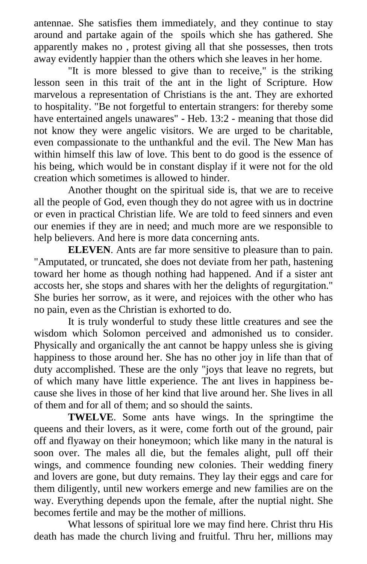antennae. She satisfies them immediately, and they continue to stay around and partake again of the spoils which she has gathered. She apparently makes no , protest giving all that she possesses, then trots away evidently happier than the others which she leaves in her home.

"It is more blessed to give than to receive," is the striking lesson seen in this trait of the ant in the light of Scripture. How marvelous a representation of Christians is the ant. They are exhorted to hospitality. "Be not forgetful to entertain strangers: for thereby some have entertained angels unawares" - Heb. 13:2 - meaning that those did not know they were angelic visitors. We are urged to be charitable, even compassionate to the unthankful and the evil. The New Man has within himself this law of love. This bent to do good is the essence of his being, which would be in constant display if it were not for the old creation which sometimes is allowed to hinder.

Another thought on the spiritual side is, that we are to receive all the people of God, even though they do not agree with us in doctrine or even in practical Christian life. We are told to feed sinners and even our enemies if they are in need; and much more are we responsible to help believers. And here is more data concerning ants.

**ELEVEN**. Ants are far more sensitive to pleasure than to pain. "Amputated, or truncated, she does not deviate from her path, hastening toward her home as though nothing had happened. And if a sister ant accosts her, she stops and shares with her the delights of regurgitation." She buries her sorrow, as it were, and rejoices with the other who has no pain, even as the Christian is exhorted to do.

It is truly wonderful to study these little creatures and see the wisdom which Solomon perceived and admonished us to consider. Physically and organically the ant cannot be happy unless she is giving happiness to those around her. She has no other joy in life than that of duty accomplished. These are the only "joys that leave no regrets, but of which many have little experience. The ant lives in happiness because she lives in those of her kind that live around her. She lives in all of them and for all of them; and so should the saints.

**TWELVE**. Some ants have wings. In the springtime the queens and their lovers, as it were, come forth out of the ground, pair off and flyaway on their honeymoon; which like many in the natural is soon over. The males all die, but the females alight, pull off their wings, and commence founding new colonies. Their wedding finery and lovers are gone, but duty remains. They lay their eggs and care for them diligently, until new workers emerge and new families are on the way. Everything depends upon the female, after the nuptial night. She becomes fertile and may be the mother of millions.

What lessons of spiritual lore we may find here. Christ thru His death has made the church living and fruitful. Thru her, millions may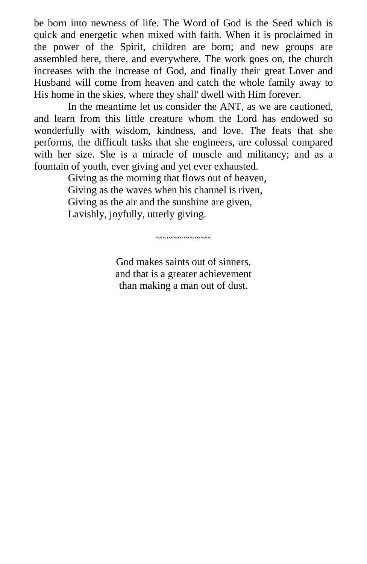be born into newness of life. The Word of God is the Seed which is quick and energetic when mixed with faith. When it is proclaimed in the power of the Spirit, children are born; and new groups are assembled here, there, and everywhere. The work goes on, the church increases with the increase of God, and finally their great Lover and Husband will come from heaven and catch the whole family away to His home in the skies, where they shall' dwell with Him forever.

In the meantime let us consider the ANT, as we are cautioned, and learn from this little creature whom the Lord has endowed so wonderfully with wisdom, kindness, and love. The feats that she performs, the difficult tasks that she engineers, are colossal compared with her size. She is a miracle of muscle and militancy; and as a fountain of youth, ever giving and yet ever exhausted.

> Giving as the morning that flows out of heaven, Giving as the waves when his channel is riven, Giving as the air and the sunshine are given, Lavishly, joyfully, utterly giving.

> > God makes saints out of sinners, and that is a greater achievement than making a man out of dust.

 $\sim$ ~~~~~~~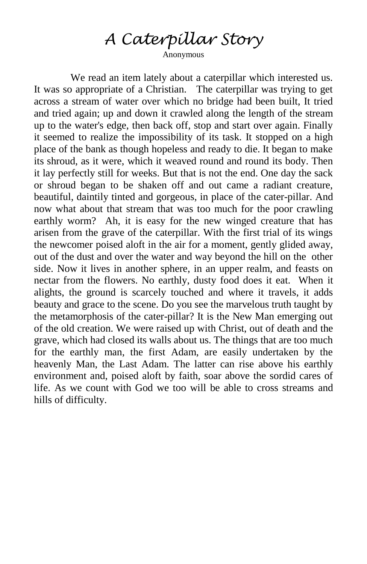# *A Caterpillar Story*

Anonymous

We read an item lately about a caterpillar which interested us. It was so appropriate of a Christian. The caterpillar was trying to get across a stream of water over which no bridge had been built, It tried and tried again; up and down it crawled along the length of the stream up to the water's edge, then back off, stop and start over again. Finally it seemed to realize the impossibility of its task. It stopped on a high place of the bank as though hopeless and ready to die. It began to make its shroud, as it were, which it weaved round and round its body. Then it lay perfectly still for weeks. But that is not the end. One day the sack or shroud began to be shaken off and out came a radiant creature, beautiful, daintily tinted and gorgeous, in place of the cater-pillar. And now what about that stream that was too much for the poor crawling earthly worm? Ah, it is easy for the new winged creature that has arisen from the grave of the caterpillar. With the first trial of its wings the newcomer poised aloft in the air for a moment, gently glided away, out of the dust and over the water and way beyond the hill on the other side. Now it lives in another sphere, in an upper realm, and feasts on nectar from the flowers. No earthly, dusty food does it eat. When it alights, the ground is scarcely touched and where it travels, it adds beauty and grace to the scene. Do you see the marvelous truth taught by the metamorphosis of the cater-pillar? It is the New Man emerging out of the old creation. We were raised up with Christ, out of death and the grave, which had closed its walls about us. The things that are too much for the earthly man, the first Adam, are easily undertaken by the heavenly Man, the Last Adam. The latter can rise above his earthly environment and, poised aloft by faith, soar above the sordid cares of life. As we count with God we too will be able to cross streams and hills of difficulty.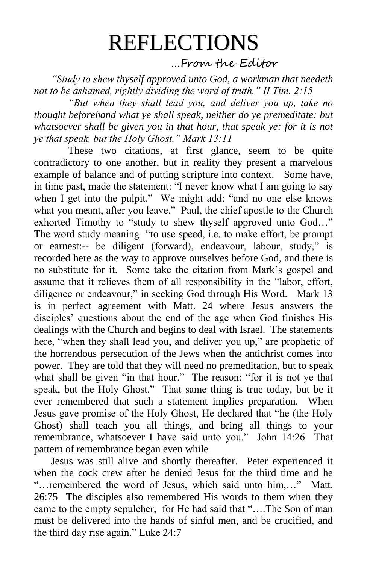# REFLECTIONS

…From the Editor

*"Study to shew thyself approved unto God, a workman that needeth not to be ashamed, rightly dividing the word of truth." II Tim. 2:15*

*"But when they shall lead you, and deliver you up, take no thought beforehand what ye shall speak, neither do ye premeditate: but whatsoever shall be given you in that hour, that speak ye: for it is not ye that speak, but the Holy Ghost." Mark 13:11*

These two citations, at first glance, seem to be quite contradictory to one another, but in reality they present a marvelous example of balance and of putting scripture into context. Some have, in time past, made the statement: "I never know what I am going to say when I get into the pulpit." We might add: "and no one else knows what you meant, after you leave." Paul, the chief apostle to the Church exhorted Timothy to "study to shew thyself approved unto God..." The word study meaning "to use speed, i.e. to make effort, be prompt or earnest:-- be diligent (forward), endeavour, labour, study," is recorded here as the way to approve ourselves before God, and there is no substitute for it. Some take the citation from Mark's gospel and assume that it relieves them of all responsibility in the "labor, effort, diligence or endeavour," in seeking God through His Word. Mark 13 is in perfect agreement with Matt. 24 where Jesus answers the disciples' questions about the end of the age when God finishes His dealings with the Church and begins to deal with Israel. The statements here, "when they shall lead you, and deliver you up," are prophetic of the horrendous persecution of the Jews when the antichrist comes into power. They are told that they will need no premeditation, but to speak what shall be given "in that hour." The reason: "for it is not ye that speak, but the Holy Ghost." That same thing is true today, but be it ever remembered that such a statement implies preparation. When Jesus gave promise of the Holy Ghost, He declared that "he (the Holy Ghost) shall teach you all things, and bring all things to your remembrance, whatsoever I have said unto you." John 14:26 That pattern of remembrance began even while

Jesus was still alive and shortly thereafter. Peter experienced it when the cock crew after he denied Jesus for the third time and he "...remembered the word of Jesus, which said unto him,..." Matt. 26:75 The disciples also remembered His words to them when they came to the empty sepulcher, for He had said that "....The Son of man must be delivered into the hands of sinful men, and be crucified, and the third day rise again." Luke  $24:7$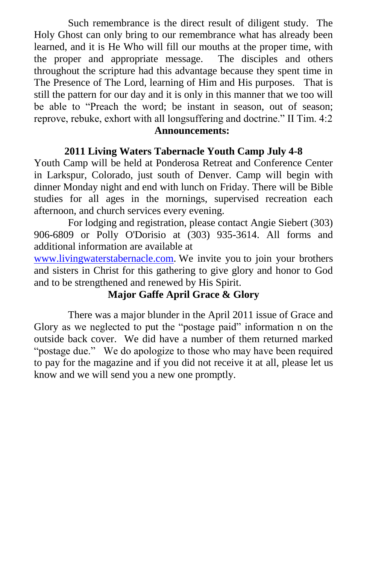Such remembrance is the direct result of diligent study. The Holy Ghost can only bring to our remembrance what has already been learned, and it is He Who will fill our mouths at the proper time, with the proper and appropriate message. The disciples and others throughout the scripture had this advantage because they spent time in The Presence of The Lord, learning of Him and His purposes. That is still the pattern for our day and it is only in this manner that we too will be able to "Preach the word; be instant in season, out of season; reprove, rebuke, exhort with all longsuffering and doctrine." II Tim. 4:2

#### **Announcements:**

#### **2011 Living Waters Tabernacle Youth Camp July 4-8**

Youth Camp will be held at Ponderosa Retreat and Conference Center in Larkspur, Colorado, just south of Denver. Camp will begin with dinner Monday night and end with lunch on Friday. There will be Bible studies for all ages in the mornings, supervised recreation each afternoon, and church services every evening.

For lodging and registration, please contact Angie Siebert (303) 906-6809 or Polly O'Dorisio at (303) 935-3614. All forms and additional information are available at

[www.livingwaterstabernacle.com.](http://www.livingwaterstabernacle.com/) We invite you to join your brothers and sisters in Christ for this gathering to give glory and honor to God and to be strengthened and renewed by His Spirit.

### **Major Gaffe April Grace & Glory**

There was a major blunder in the April 2011 issue of Grace and Glory as we neglected to put the "postage paid" information n on the outside back cover. We did have a number of them returned marked "postage due." We do apologize to those who may have been required to pay for the magazine and if you did not receive it at all, please let us know and we will send you a new one promptly.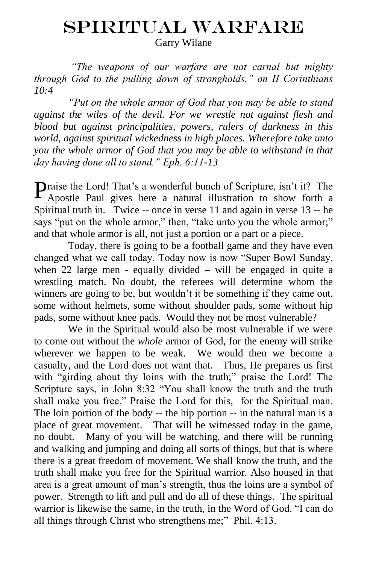# SPIRITUAL WARFARE

Garry Wilane

*"The weapons of our warfare are not carnal but mighty through God to the pulling down of strongholds." on II Corinthians 10:4* 

*"Put on the whole armor of God that you may be able to stand against the wiles of the devil. For we wrestle not against flesh and blood but against principalities, powers, rulers of darkness in this world, against spiritual wickedness in high places. Wherefore take unto you the whole armor of God that you may be able to withstand in that day having done all to stand." Eph. 6:11-13* 

**P**raise the Lord! That's a wonderful bunch of Scripture, isn't it? The Apostle Paul gives here a natural illustration to show forth a Apostle Paul gives here a natural illustration to show forth a Spiritual truth in. Twice -- once in verse 11 and again in verse 13 -- he says "put on the whole armor," then, "take unto you the whole armor;" and that whole armor is all, not just a portion or a part or a piece.

Today, there is going to be a football game and they have even changed what we call today. Today now is now "Super Bowl Sunday, when 22 large men - equally divided – will be engaged in quite a wrestling match. No doubt, the referees will determine whom the winners are going to be, but wouldn't it be something if they came out, some without helmets, some without shoulder pads, some without hip pads, some without knee pads. Would they not be most vulnerable?

We in the Spiritual would also be most vulnerable if we were to come out without the *whole* armor of God, for the enemy will strike wherever we happen to be weak. We would then we become a casualty, and the Lord does not want that. Thus, He prepares us first with "girding about thy loins with the truth;" praise the Lord! The Scripture says, in John 8:32 "You shall know the truth and the truth shall make you free." Praise the Lord for this, for the Spiritual man. The loin portion of the body -- the hip portion -- in the natural man is a place of great movement. That will be witnessed today in the game, no doubt. Many of you will be watching, and there will be running and walking and jumping and doing all sorts of things, but that is where there is a great freedom of movement. We shall know the truth, and the truth shall make you free for the Spiritual warrior. Also housed in that area is a great amount of man's strength, thus the loins are a symbol of power. Strength to lift and pull and do all of these things. The spiritual warrior is likewise the same, in the truth, in the Word of God. "I can do all things through Christ who strengthens me;" Phil. 4:13.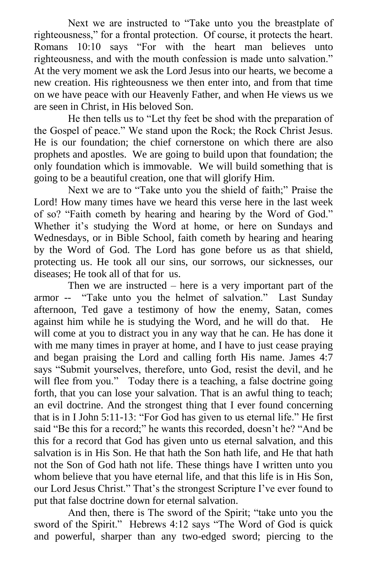Next we are instructed to "Take unto you the breastplate of righteousness," for a frontal protection. Of course, it protects the heart. Romans 10:10 says "For with the heart man believes unto righteousness, and with the mouth confession is made unto salvation." At the very moment we ask the Lord Jesus into our hearts, we become a new creation. His righteousness we then enter into, and from that time on we have peace with our Heavenly Father, and when He views us we are seen in Christ, in His beloved Son.

He then tells us to "Let thy feet be shod with the preparation of the Gospel of peace." We stand upon the Rock; the Rock Christ Jesus. He is our foundation; the chief cornerstone on which there are also prophets and apostles. We are going to build upon that foundation; the only foundation which is immovable. We will build something that is going to be a beautiful creation, one that will glorify Him.

Next we are to "Take unto you the shield of faith;" Praise the Lord! How many times have we heard this verse here in the last week of so? "Faith cometh by hearing and hearing by the Word of God." Whether it's studying the Word at home, or here on Sundays and Wednesdays, or in Bible School, faith cometh by hearing and hearing by the Word of God. The Lord has gone before us as that shield, protecting us. He took all our sins, our sorrows, our sicknesses, our diseases; He took all of that for us.

Then we are instructed – here is a very important part of the armor -- "Take unto you the helmet of salvation." Last Sunday afternoon, Ted gave a testimony of how the enemy, Satan, comes against him while he is studying the Word, and he will do that. He will come at you to distract you in any way that he can. He has done it with me many times in prayer at home, and I have to just cease praying and began praising the Lord and calling forth His name. James 4:7 says "Submit yourselves, therefore, unto God, resist the devil, and he will flee from you." Today there is a teaching, a false doctrine going forth, that you can lose your salvation. That is an awful thing to teach; an evil doctrine. And the strongest thing that I ever found concerning that is in I John  $5:11-13$ : "For God has given to us eternal life." He first said "Be this for a record;" he wants this recorded, doesn't he? "And be this for a record that God has given unto us eternal salvation, and this salvation is in His Son. He that hath the Son hath life, and He that hath not the Son of God hath not life. These things have I written unto you whom believe that you have eternal life, and that this life is in His Son, our Lord Jesus Christ." That's the strongest Scripture I've ever found to put that false doctrine down for eternal salvation.

And then, there is The sword of the Spirit; "take unto you the sword of the Spirit." Hebrews 4:12 says "The Word of God is quick and powerful, sharper than any two-edged sword; piercing to the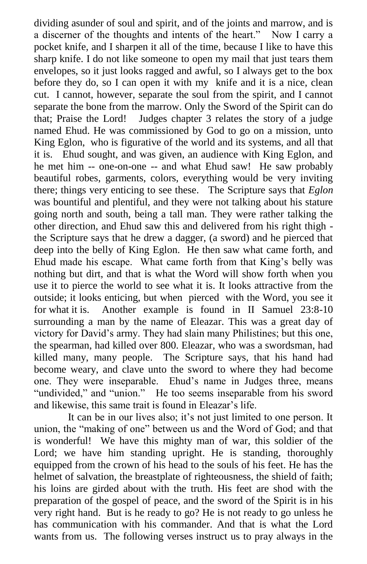dividing asunder of soul and spirit, and of the joints and marrow, and is a discerner of the thoughts and intents of the heart." Now I carry a pocket knife, and I sharpen it all of the time, because I like to have this sharp knife. I do not like someone to open my mail that just tears them envelopes, so it just looks ragged and awful, so I always get to the box before they do, so I can open it with my knife and it is a nice, clean cut. I cannot, however, separate the soul from the spirit, and I cannot separate the bone from the marrow. Only the Sword of the Spirit can do that; Praise the Lord! Judges chapter 3 relates the story of a judge named Ehud. He was commissioned by God to go on a mission, unto King Eglon, who is figurative of the world and its systems, and all that it is. Ehud sought, and was given, an audience with King Eglon, and he met him -- one-on-one -- and what Ehud saw! He saw probably beautiful robes, garments, colors, everything would be very inviting there; things very enticing to see these. The Scripture says that *Eglon*  was bountiful and plentiful, and they were not talking about his stature going north and south, being a tall man. They were rather talking the other direction, and Ehud saw this and delivered from his right thigh the Scripture says that he drew a dagger, (a sword) and he pierced that deep into the belly of King Eglon. He then saw what came forth, and Ehud made his escape. What came forth from that King's belly was nothing but dirt, and that is what the Word will show forth when you use it to pierce the world to see what it is. It looks attractive from the outside; it looks enticing, but when pierced with the Word, you see it for what it is. Another example is found in II Samuel 23:8-10 surrounding a man by the name of Eleazar. This was a great day of victory for David's army. They had slain many Philistines; but this one, the spearman, had killed over 800. Eleazar, who was a swordsman, had killed many, many people. The Scripture says, that his hand had become weary, and clave unto the sword to where they had become one. They were inseparable. Ehud's name in Judges three, means "undivided," and "union." He too seems inseparable from his sword and likewise, this same trait is found in Eleazar's life.

It can be in our lives also; it's not just limited to one person. It union, the "making of one" between us and the Word of God; and that is wonderful! We have this mighty man of war, this soldier of the Lord; we have him standing upright. He is standing, thoroughly equipped from the crown of his head to the souls of his feet. He has the helmet of salvation, the breastplate of righteousness, the shield of faith; his loins are girded about with the truth. His feet are shod with the preparation of the gospel of peace, and the sword of the Spirit is in his very right hand. But is he ready to go? He is not ready to go unless he has communication with his commander. And that is what the Lord wants from us. The following verses instruct us to pray always in the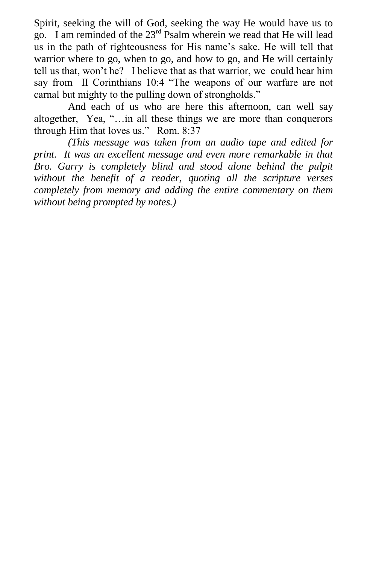Spirit, seeking the will of God, seeking the way He would have us to go. I am reminded of the 23rd Psalm wherein we read that He will lead us in the path of righteousness for His name's sake. He will tell that warrior where to go, when to go, and how to go, and He will certainly tell us that, won't he? I believe that as that warrior, we could hear him say from II Corinthians 10:4 "The weapons of our warfare are not carnal but mighty to the pulling down of strongholds."

And each of us who are here this afternoon, can well say altogether, Yea, "...in all these things we are more than conquerors through Him that loves us." Rom. 8:37

*(This message was taken from an audio tape and edited for print. It was an excellent message and even more remarkable in that Bro. Garry is completely blind and stood alone behind the pulpit without the benefit of a reader, quoting all the scripture verses completely from memory and adding the entire commentary on them without being prompted by notes.)*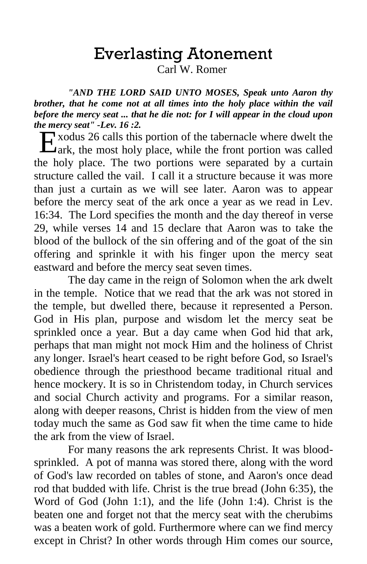# Everlasting Atonement

Carl W. Romer

*"AND THE LORD SAID UNTO MOSES, Speak unto Aaron thy brother, that he come not at all times into the holy place within the vail before the mercy seat ... that he die not: for I will appear in the cloud upon the mercy seat" -Lev. 16 :2.* 

xodus 26 calls this portion of the tabernacle where dwelt the Exodus 26 calls this portion of the tabernacle where dwelt the Lark, the most holy place, while the front portion was called the holy place. The two portions were separated by a curtain structure called the vail. I call it a structure because it was more than just a curtain as we will see later. Aaron was to appear before the mercy seat of the ark once a year as we read in Lev. 16:34. The Lord specifies the month and the day thereof in verse 29, while verses 14 and 15 declare that Aaron was to take the blood of the bullock of the sin offering and of the goat of the sin offering and sprinkle it with his finger upon the mercy seat eastward and before the mercy seat seven times.

The day came in the reign of Solomon when the ark dwelt in the temple. Notice that we read that the ark was not stored in the temple, but dwelled there, because it represented a Person. God in His plan, purpose and wisdom let the mercy seat be sprinkled once a year. But a day came when God hid that ark, perhaps that man might not mock Him and the holiness of Christ any longer. Israel's heart ceased to be right before God, so Israel's obedience through the priesthood became traditional ritual and hence mockery. It is so in Christendom today, in Church services and social Church activity and programs. For a similar reason, along with deeper reasons, Christ is hidden from the view of men today much the same as God saw fit when the time came to hide the ark from the view of Israel.

For many reasons the ark represents Christ. It was bloodsprinkled. A pot of manna was stored there, along with the word of God's law recorded on tables of stone, and Aaron's once dead rod that budded with life. Christ is the true bread (John 6:35), the Word of God (John 1:1), and the life (John 1:4). Christ is the beaten one and forget not that the mercy seat with the cherubims was a beaten work of gold. Furthermore where can we find mercy except in Christ? In other words through Him comes our source,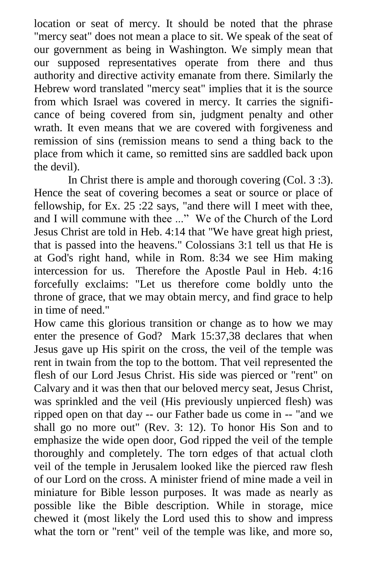location or seat of mercy. It should be noted that the phrase "mercy seat" does not mean a place to sit. We speak of the seat of our government as being in Washington. We simply mean that our supposed representatives operate from there and thus authority and directive activity emanate from there. Similarly the Hebrew word translated "mercy seat" implies that it is the source from which Israel was covered in mercy. It carries the significance of being covered from sin, judgment penalty and other wrath. It even means that we are covered with forgiveness and remission of sins (remission means to send a thing back to the place from which it came, so remitted sins are saddled back upon the devil).

In Christ there is ample and thorough covering (Col. 3 :3). Hence the seat of covering becomes a seat or source or place of fellowship, for Ex. 25 :22 says, "and there will I meet with thee, and I will commune with thee ..." We of the Church of the Lord Jesus Christ are told in Heb. 4:14 that "We have great high priest, that is passed into the heavens." Colossians 3:1 tell us that He is at God's right hand, while in Rom. 8:34 we see Him making intercession for us. Therefore the Apostle Paul in Heb. 4:16 forcefully exclaims: "Let us therefore come boldly unto the throne of grace, that we may obtain mercy, and find grace to help in time of need."

How came this glorious transition or change as to how we may enter the presence of God? Mark 15:37,38 declares that when Jesus gave up His spirit on the cross, the veil of the temple was rent in twain from the top to the bottom. That veil represented the flesh of our Lord Jesus Christ. His side was pierced or "rent" on Calvary and it was then that our beloved mercy seat, Jesus Christ, was sprinkled and the veil (His previously unpierced flesh) was ripped open on that day -- our Father bade us come in -- "and we shall go no more out" (Rev. 3: 12). To honor His Son and to emphasize the wide open door, God ripped the veil of the temple thoroughly and completely. The torn edges of that actual cloth veil of the temple in Jerusalem looked like the pierced raw flesh of our Lord on the cross. A minister friend of mine made a veil in miniature for Bible lesson purposes. It was made as nearly as possible like the Bible description. While in storage, mice chewed it (most likely the Lord used this to show and impress what the torn or "rent" veil of the temple was like, and more so,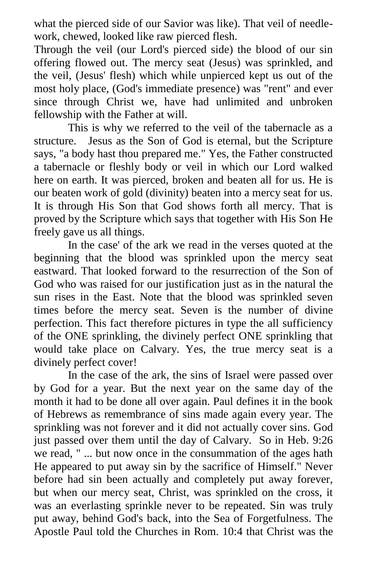what the pierced side of our Savior was like). That veil of needlework, chewed, looked like raw pierced flesh.

Through the veil (our Lord's pierced side) the blood of our sin offering flowed out. The mercy seat (Jesus) was sprinkled, and the veil, (Jesus' flesh) which while unpierced kept us out of the most holy place, (God's immediate presence) was "rent" and ever since through Christ we, have had unlimited and unbroken fellowship with the Father at will.

This is why we referred to the veil of the tabernacle as a structure. Jesus as the Son of God is eternal, but the Scripture says, "a body hast thou prepared me." Yes, the Father constructed a tabernacle or fleshly body or veil in which our Lord walked here on earth. It was pierced, broken and beaten all for us. He is our beaten work of gold (divinity) beaten into a mercy seat for us. It is through His Son that God shows forth all mercy. That is proved by the Scripture which says that together with His Son He freely gave us all things.

In the case' of the ark we read in the verses quoted at the beginning that the blood was sprinkled upon the mercy seat eastward. That looked forward to the resurrection of the Son of God who was raised for our justification just as in the natural the sun rises in the East. Note that the blood was sprinkled seven times before the mercy seat. Seven is the number of divine perfection. This fact therefore pictures in type the all sufficiency of the ONE sprinkling, the divinely perfect ONE sprinkling that would take place on Calvary. Yes, the true mercy seat is a divinely perfect cover!

In the case of the ark, the sins of Israel were passed over by God for a year. But the next year on the same day of the month it had to be done all over again. Paul defines it in the book of Hebrews as remembrance of sins made again every year. The sprinkling was not forever and it did not actually cover sins. God just passed over them until the day of Calvary. So in Heb. 9:26 we read, " ... but now once in the consummation of the ages hath He appeared to put away sin by the sacrifice of Himself." Never before had sin been actually and completely put away forever, but when our mercy seat, Christ, was sprinkled on the cross, it was an everlasting sprinkle never to be repeated. Sin was truly put away, behind God's back, into the Sea of Forgetfulness. The Apostle Paul told the Churches in Rom. 10:4 that Christ was the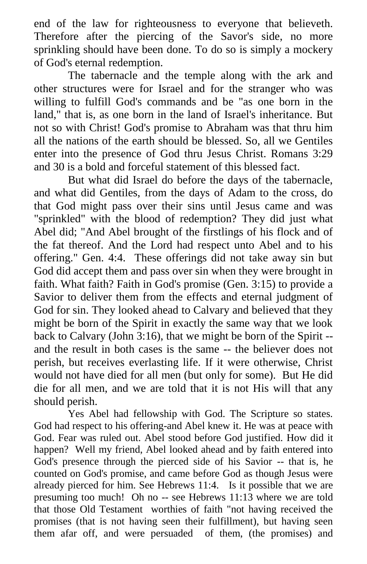end of the law for righteousness to everyone that believeth. Therefore after the piercing of the Savor's side, no more sprinkling should have been done. To do so is simply a mockery of God's eternal redemption.

The tabernacle and the temple along with the ark and other structures were for Israel and for the stranger who was willing to fulfill God's commands and be "as one born in the land," that is, as one born in the land of Israel's inheritance. But not so with Christ! God's promise to Abraham was that thru him all the nations of the earth should be blessed. So, all we Gentiles enter into the presence of God thru Jesus Christ. Romans 3:29 and 30 is a bold and forceful statement of this blessed fact.

But what did Israel do before the days of the tabernacle, and what did Gentiles, from the days of Adam to the cross, do that God might pass over their sins until Jesus came and was "sprinkled" with the blood of redemption? They did just what Abel did; "And Abel brought of the firstlings of his flock and of the fat thereof. And the Lord had respect unto Abel and to his offering." Gen. 4:4. These offerings did not take away sin but God did accept them and pass over sin when they were brought in faith. What faith? Faith in God's promise (Gen. 3:15) to provide a Savior to deliver them from the effects and eternal judgment of God for sin. They looked ahead to Calvary and believed that they might be born of the Spirit in exactly the same way that we look back to Calvary (John 3:16), that we might be born of the Spirit - and the result in both cases is the same -- the believer does not perish, but receives everlasting life. If it were otherwise, Christ would not have died for all men (but only for some). But He did die for all men, and we are told that it is not His will that any should perish.

Yes Abel had fellowship with God. The Scripture so states. God had respect to his offering-and Abel knew it. He was at peace with God. Fear was ruled out. Abel stood before God justified. How did it happen? Well my friend, Abel looked ahead and by faith entered into God's presence through the pierced side of his Savior -- that is, he counted on God's promise, and came before God as though Jesus were already pierced for him. See Hebrews 11:4. Is it possible that we are presuming too much! Oh no -- see Hebrews 11:13 where we are told that those Old Testament worthies of faith "not having received the promises (that is not having seen their fulfillment), but having seen them afar off, and were persuaded of them, (the promises) and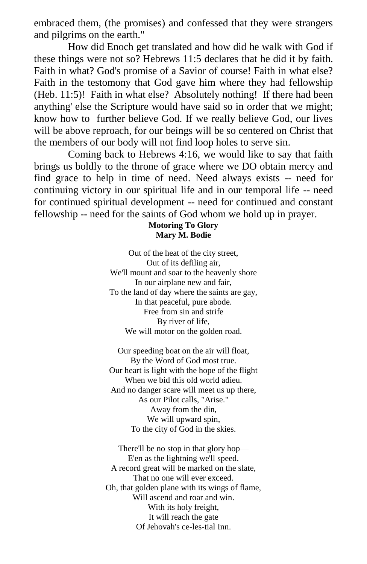embraced them, (the promises) and confessed that they were strangers and pilgrims on the earth."

How did Enoch get translated and how did he walk with God if these things were not so? Hebrews 11:5 declares that he did it by faith. Faith in what? God's promise of a Savior of course! Faith in what else? Faith in the testomony that God gave him where they had fellowship (Heb. 11:5)! Faith in what else? Absolutely nothing! If there had been anything' else the Scripture would have said so in order that we might; know how to further believe God. If we really believe God, our lives will be above reproach, for our beings will be so centered on Christ that the members of our body will not find loop holes to serve sin.

Coming back to Hebrews 4:16, we would like to say that faith brings us boldly to the throne of grace where we DO obtain mercy and find grace to help in time of need. Need always exists -- need for continuing victory in our spiritual life and in our temporal life -- need for continued spiritual development -- need for continued and constant fellowship -- need for the saints of God whom we hold up in prayer.

#### **Motoring To Glory Mary M. Bodie**

Out of the heat of the city street, Out of its defiling air, We'll mount and soar to the heavenly shore In our airplane new and fair, To the land of day where the saints are gay, In that peaceful, pure abode. Free from sin and strife By river of life, We will motor on the golden road.

Our speeding boat on the air will float, By the Word of God most true. Our heart is light with the hope of the flight When we bid this old world adieu. And no danger scare will meet us up there, As our Pilot calls, "Arise." Away from the din, We will upward spin, To the city of God in the skies.

There'll be no stop in that glory hop— E'en as the lightning we'll speed. A record great will be marked on the slate, That no one will ever exceed. Oh, that golden plane with its wings of flame, Will ascend and roar and win. With its holy freight, It will reach the gate Of Jehovah's ce-les-tial Inn.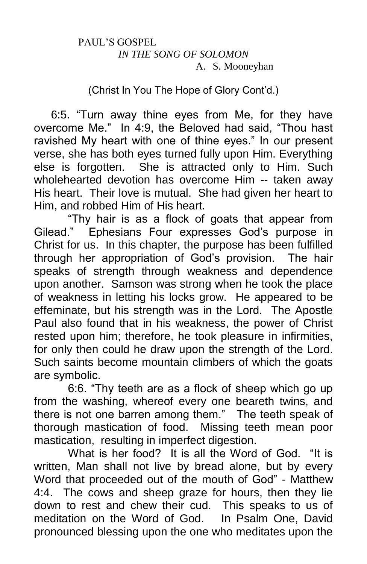#### PAUL'S GOSPEL *IN THE SONG OF SOLOMON* A. S. Mooneyhan

## (Christ In You The Hope of Glory Cont'd.)

6:5. "Turn away thine eyes from Me, for they have overcome Me." In 4:9, the Beloved had said, "Thou hast ravished My heart with one of thine eyes." In our present verse, she has both eyes turned fully upon Him. Everything else is forgotten. She is attracted only to Him. Such wholehearted devotion has overcome Him -- taken away His heart. Their love is mutual. She had given her heart to Him, and robbed Him of His heart.

"Thy hair is as a flock of goats that appear from Gilead." Ephesians Four expresses God's purpose in Christ for us. In this chapter, the purpose has been fulfilled through her appropriation of God's provision. The hair speaks of strength through weakness and dependence upon another. Samson was strong when he took the place of weakness in letting his locks grow. He appeared to be effeminate, but his strength was in the Lord. The Apostle Paul also found that in his weakness, the power of Christ rested upon him; therefore, he took pleasure in infirmities, for only then could he draw upon the strength of the Lord. Such saints become mountain climbers of which the goats are symbolic.

6:6. "Thy teeth are as a flock of sheep which go up from the washing, whereof every one beareth twins, and there is not one barren among them." The teeth speak of thorough mastication of food. Missing teeth mean poor mastication, resulting in imperfect digestion.

What is her food? It is all the Word of God. "It is written, Man shall not live by bread alone, but by every Word that proceeded out of the mouth of God" - Matthew 4:4. The cows and sheep graze for hours, then they lie down to rest and chew their cud. This speaks to us of meditation on the Word of God. In Psalm One, David pronounced blessing upon the one who meditates upon the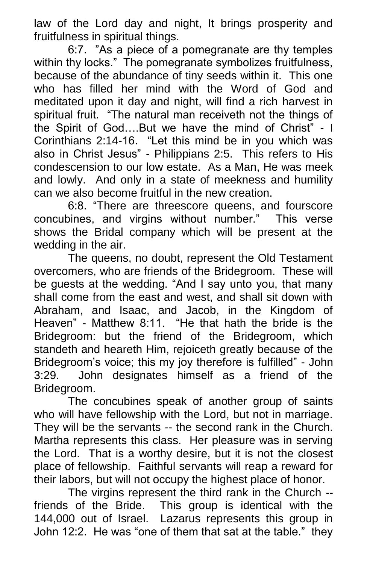law of the Lord day and night, It brings prosperity and fruitfulness in spiritual things.

6:7. "As a piece of a pomegranate are thy temples within thy locks." The pomegranate symbolizes fruitfulness, because of the abundance of tiny seeds within it. This one who has filled her mind with the Word of God and meditated upon it day and night, will find a rich harvest in spiritual fruit. "The natural man receiveth not the things of the Spirit of God….But we have the mind of Christ" - I Corinthians 2:14-16. "Let this mind be in you which was also in Christ Jesus" - Philippians 2:5. This refers to His condescension to our low estate. As a Man, He was meek and lowly. And only in a state of meekness and humility can we also become fruitful in the new creation.

6:8. "There are threescore queens, and fourscore concubines, and virgins without number." This verse shows the Bridal company which will be present at the wedding in the air.

The queens, no doubt, represent the Old Testament overcomers, who are friends of the Bridegroom. These will be guests at the wedding. "And I say unto you, that many shall come from the east and west, and shall sit down with Abraham, and Isaac, and Jacob, in the Kingdom of Heaven" - Matthew 8:11. "He that hath the bride is the Bridegroom: but the friend of the Bridegroom, which standeth and heareth Him, rejoiceth greatly because of the Bridegroom's voice; this my joy therefore is fulfilled" - John 3:29. John designates himself as a friend of the Bridegroom.

The concubines speak of another group of saints who will have fellowship with the Lord, but not in marriage. They will be the servants -- the second rank in the Church. Martha represents this class. Her pleasure was in serving the Lord. That is a worthy desire, but it is not the closest place of fellowship. Faithful servants will reap a reward for their labors, but will not occupy the highest place of honor.

The virgins represent the third rank in the Church - friends of the Bride. This group is identical with the 144,000 out of Israel. Lazarus represents this group in John 12:2. He was "one of them that sat at the table." they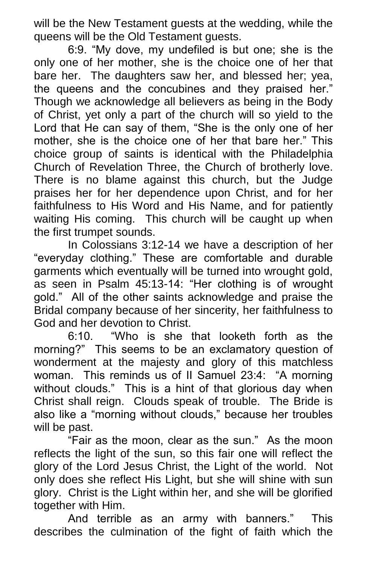will be the New Testament guests at the wedding, while the queens will be the Old Testament guests.

6:9. "My dove, my undefiled is but one; she is the only one of her mother, she is the choice one of her that bare her. The daughters saw her, and blessed her; yea, the queens and the concubines and they praised her." Though we acknowledge all believers as being in the Body of Christ, yet only a part of the church will so yield to the Lord that He can say of them, "She is the only one of her mother, she is the choice one of her that bare her." This choice group of saints is identical with the Philadelphia Church of Revelation Three, the Church of brotherly love. There is no blame against this church, but the Judge praises her for her dependence upon Christ, and for her faithfulness to His Word and His Name, and for patiently waiting His coming. This church will be caught up when the first trumpet sounds.

In Colossians 3:12-14 we have a description of her "everyday clothing." These are comfortable and durable garments which eventually will be turned into wrought gold, as seen in Psalm 45:13-14: "Her clothing is of wrought gold." All of the other saints acknowledge and praise the Bridal company because of her sincerity, her faithfulness to God and her devotion to Christ.

6:10. "Who is she that looketh forth as the morning?" This seems to be an exclamatory question of wonderment at the majesty and glory of this matchless woman. This reminds us of II Samuel 23:4: "A morning without clouds." This is a hint of that glorious day when Christ shall reign. Clouds speak of trouble. The Bride is also like a "morning without clouds," because her troubles will be past.

"Fair as the moon, clear as the sun." As the moon reflects the light of the sun, so this fair one will reflect the glory of the Lord Jesus Christ, the Light of the world. Not only does she reflect His Light, but she will shine with sun glory. Christ is the Light within her, and she will be glorified together with Him.

And terrible as an army with banners." This describes the culmination of the fight of faith which the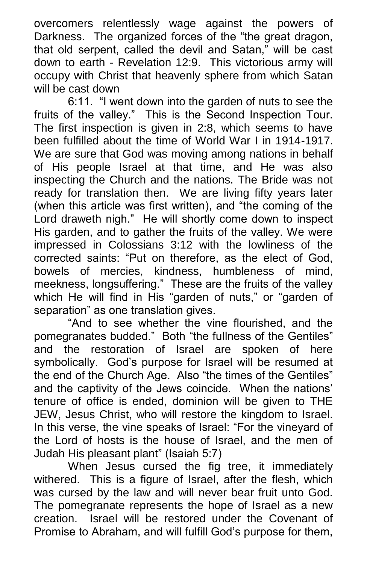overcomers relentlessly wage against the powers of Darkness. The organized forces of the "the great dragon, that old serpent, called the devil and Satan," will be cast down to earth - Revelation 12:9. This victorious army will occupy with Christ that heavenly sphere from which Satan will be cast down

6:11. "I went down into the garden of nuts to see the fruits of the valley." This is the Second Inspection Tour. The first inspection is given in 2:8, which seems to have been fulfilled about the time of World War I in 1914-1917. We are sure that God was moving among nations in behalf of His people Israel at that time, and He was also inspecting the Church and the nations. The Bride was not ready for translation then. We are living fifty years later (when this article was first written), and "the coming of the Lord draweth nigh." He will shortly come down to inspect His garden, and to gather the fruits of the valley. We were impressed in Colossians 3:12 with the lowliness of the corrected saints: "Put on therefore, as the elect of God, bowels of mercies, kindness, humbleness of mind, meekness, longsuffering." These are the fruits of the valley which He will find in His "garden of nuts," or "garden of separation" as one translation gives.

"And to see whether the vine flourished, and the pomegranates budded." Both "the fullness of the Gentiles" and the restoration of Israel are spoken of here symbolically. God's purpose for Israel will be resumed at the end of the Church Age. Also "the times of the Gentiles" and the captivity of the Jews coincide. When the nations' tenure of office is ended, dominion will be given to THE JEW, Jesus Christ, who will restore the kingdom to Israel. In this verse, the vine speaks of Israel: "For the vineyard of the Lord of hosts is the house of Israel, and the men of Judah His pleasant plant" (Isaiah 5:7)

When Jesus cursed the fig tree, it immediately withered. This is a figure of Israel, after the flesh, which was cursed by the law and will never bear fruit unto God. The pomegranate represents the hope of Israel as a new creation. Israel will be restored under the Covenant of Promise to Abraham, and will fulfill God's purpose for them,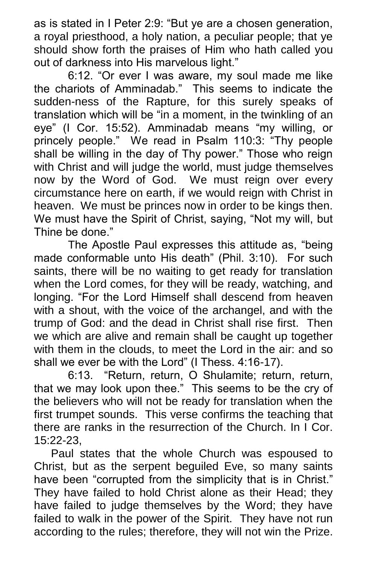as is stated in I Peter 2:9: "But ye are a chosen generation, a royal priesthood, a holy nation, a peculiar people; that ye should show forth the praises of Him who hath called you out of darkness into His marvelous light."

6:12. "Or ever I was aware, my soul made me like the chariots of Amminadab." This seems to indicate the sudden-ness of the Rapture, for this surely speaks of translation which will be "in a moment, in the twinkling of an eye" (I Cor. 15:52). Amminadab means "my willing, or princely people." We read in Psalm 110:3: "Thy people shall be willing in the day of Thy power." Those who reign with Christ and will judge the world, must judge themselves now by the Word of God. We must reign over every circumstance here on earth, if we would reign with Christ in heaven. We must be princes now in order to be kings then. We must have the Spirit of Christ, saying, "Not my will, but Thine be done."

The Apostle Paul expresses this attitude as, "being made conformable unto His death" (Phil. 3:10). For such saints, there will be no waiting to get ready for translation when the Lord comes, for they will be ready, watching, and longing. "For the Lord Himself shall descend from heaven with a shout, with the voice of the archangel, and with the trump of God: and the dead in Christ shall rise first. Then we which are alive and remain shall be caught up together with them in the clouds, to meet the Lord in the air: and so shall we ever be with the Lord" (I Thess. 4:16-17).

6:13. "Return, return, O Shulamite; return, return, that we may look upon thee." This seems to be the cry of the believers who will not be ready for translation when the first trumpet sounds. This verse confirms the teaching that there are ranks in the resurrection of the Church. In I Cor. 15:22-23,

Paul states that the whole Church was espoused to Christ, but as the serpent beguiled Eve, so many saints have been "corrupted from the simplicity that is in Christ." They have failed to hold Christ alone as their Head; they have failed to judge themselves by the Word; they have failed to walk in the power of the Spirit. They have not run according to the rules; therefore, they will not win the Prize.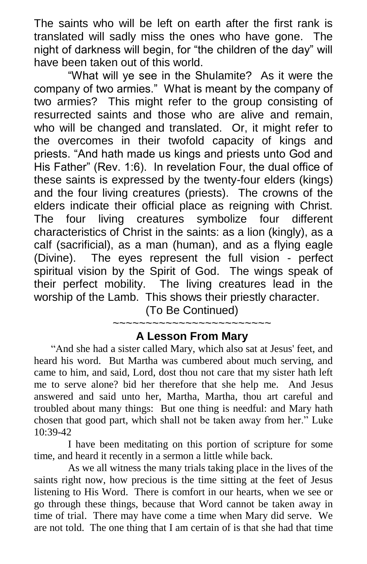The saints who will be left on earth after the first rank is translated will sadly miss the ones who have gone. The night of darkness will begin, for "the children of the day" will have been taken out of this world.

"What will ye see in the Shulamite? As it were the company of two armies." What is meant by the company of two armies? This might refer to the group consisting of resurrected saints and those who are alive and remain, who will be changed and translated. Or, it might refer to the overcomes in their twofold capacity of kings and priests. "And hath made us kings and priests unto God and His Father" (Rev. 1:6). In revelation Four, the dual office of these saints is expressed by the twenty-four elders (kings) and the four living creatures (priests). The crowns of the elders indicate their official place as reigning with Christ. The four living creatures symbolize four different characteristics of Christ in the saints: as a lion (kingly), as a calf (sacrificial), as a man (human), and as a flying eagle (Divine). The eyes represent the full vision - perfect spiritual vision by the Spirit of God. The wings speak of their perfect mobility. The living creatures lead in the worship of the Lamb. This shows their priestly character.

(To Be Continued) ~~~~~~~~~~~~~

## **A Lesson From Mary**

"And she had a sister called Mary, which also sat at Jesus' feet, and heard his word. But Martha was cumbered about much serving, and came to him, and said, Lord, dost thou not care that my sister hath left me to serve alone? bid her therefore that she help me. And Jesus answered and said unto her, Martha, Martha, thou art careful and troubled about many things: But one thing is needful: and Mary hath chosen that good part, which shall not be taken away from her." Luke 10:39-42

I have been meditating on this portion of scripture for some time, and heard it recently in a sermon a little while back.

As we all witness the many trials taking place in the lives of the saints right now, how precious is the time sitting at the feet of Jesus listening to His Word. There is comfort in our hearts, when we see or go through these things, because that Word cannot be taken away in time of trial. There may have come a time when Mary did serve. We are not told. The one thing that I am certain of is that she had that time